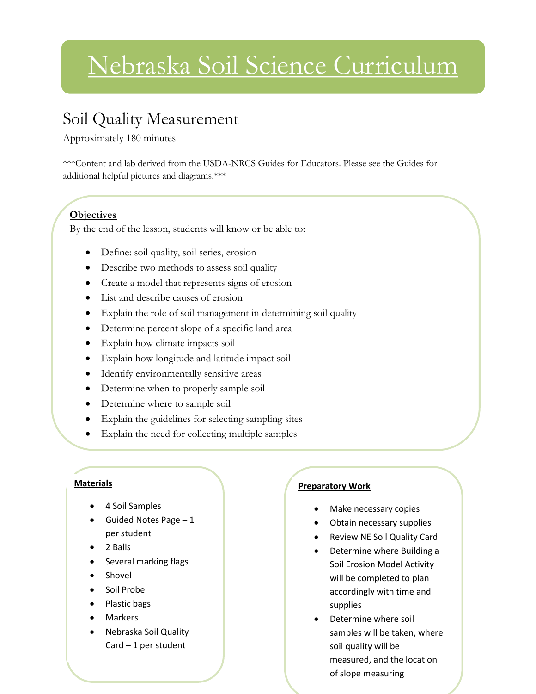# Nebraska Soil Science Curriculum

### Soil Quality Measurement

Approximately 180 minutes

\*\*\*Content and lab derived from the USDA-NRCS Guides for Educators. Please see the Guides for additional helpful pictures and diagrams.\*\*\*

#### **Objectives**

By the end of the lesson, students will know or be able to:

- Define: soil quality, soil series, erosion
- Describe two methods to assess soil quality
- Create a model that represents signs of erosion
- List and describe causes of erosion
- Explain the role of soil management in determining soil quality
- Determine percent slope of a specific land area
- Explain how climate impacts soil
- Explain how longitude and latitude impact soil
- Identify environmentally sensitive areas
- Determine when to properly sample soil
- Determine where to sample soil

Use the Nebraska Soil Quality Card

- Explain the guidelines for selecting sampling sites
- Explain the need for collecting multiple samples

#### **Materials**

- 4 Soil Samples
- Guided Notes Page 1 per student
- 2 Balls
- Several marking flags
- Shovel
- Soil Probe
- Plastic bags
- Markers
- Nebraska Soil Quality  $Card - 1$  per student

#### **Preparatory Work**

- Make necessary copies
- Obtain necessary supplies
- Review NE Soil Quality Card
- Determine where Building a Soil Erosion Model Activity will be completed to plan accordingly with time and supplies
- Determine where soil samples will be taken, where soil quality will be measured, and the location of slope measuring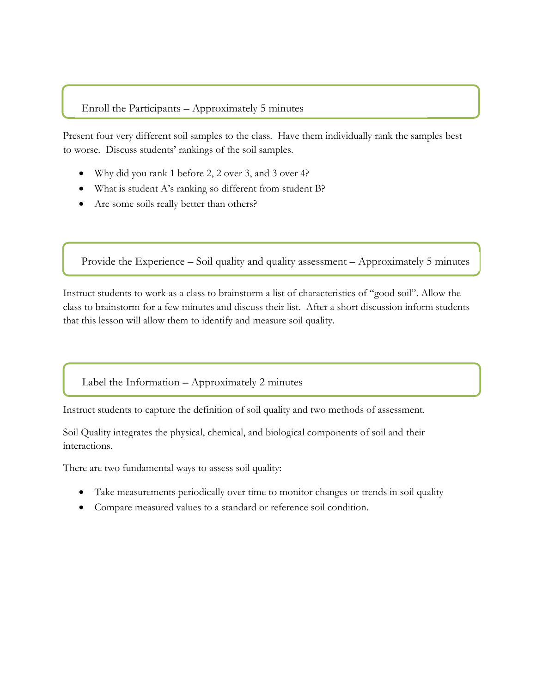#### Enroll the Participants – Approximately 5 minutes

Present four very different soil samples to the class. Have them individually rank the samples best to worse. Discuss students' rankings of the soil samples.

- Why did you rank 1 before 2, 2 over 3, and 3 over 4?
- What is student A's ranking so different from student B?
- Are some soils really better than others?

l

Provide the Experience – Soil quality and quality assessment – Approximately 5 minutes

Instruct students to work as a class to brainstorm a list of characteristics of "good soil". Allow the class to brainstorm for a few minutes and discuss their list. After a short discussion inform students that this lesson will allow them to identify and measure soil quality.

Label the Information – Approximately 2 minutes

Instruct students to capture the definition of soil quality and two methods of assessment.

Soil Quality integrates the physical, chemical, and biological components of soil and their interactions.

There are two fundamental ways to assess soil quality:

- Take measurements periodically over time to monitor changes or trends in soil quality
- Compare measured values to a standard or reference soil condition.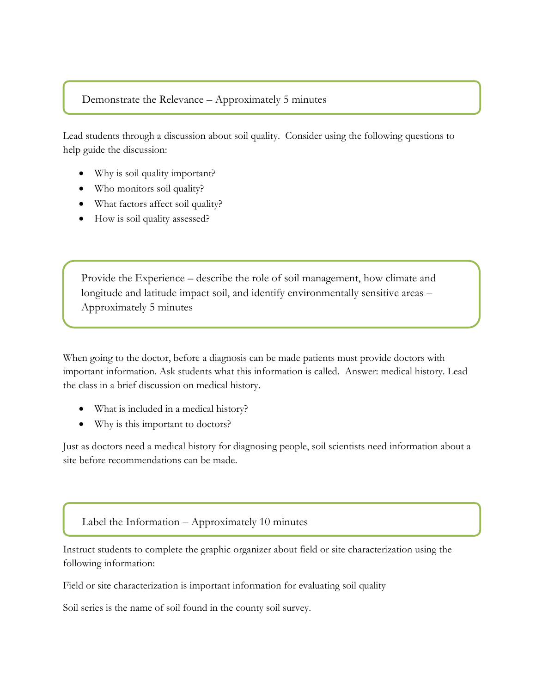#### Demonstrate the Relevance – Approximately 5 minutes

Lead students through a discussion about soil quality. Consider using the following questions to help guide the discussion:

- Why is soil quality important?
- Who monitors soil quality?
- What factors affect soil quality?
- How is soil quality assessed?

Provide the Experience – describe the role of soil management, how climate and longitude and latitude impact soil, and identify environmentally sensitive areas – Approximately 5 minutes

When going to the doctor, before a diagnosis can be made patients must provide doctors with important information. Ask students what this information is called. Answer: medical history. Lead the class in a brief discussion on medical history.

- What is included in a medical history?
- Why is this important to doctors?

Just as doctors need a medical history for diagnosing people, soil scientists need information about a site before recommendations can be made.

Label the Information – Approximately 10 minutes

Instruct students to complete the graphic organizer about field or site characterization using the following information:

Field or site characterization is important information for evaluating soil quality

Soil series is the name of soil found in the county soil survey.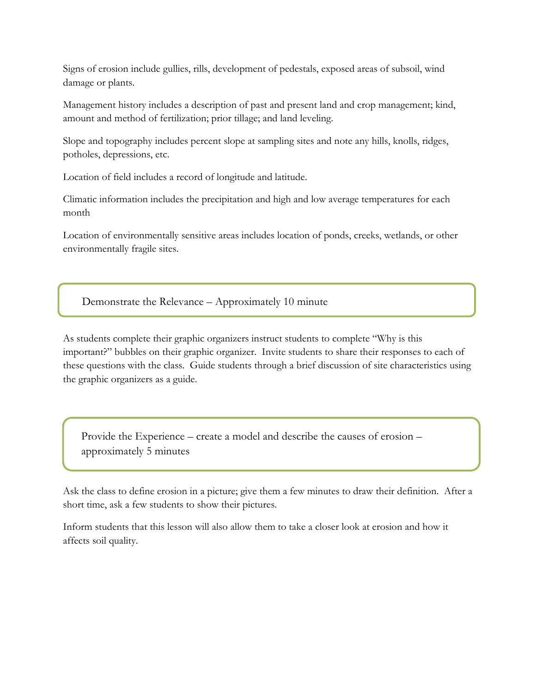Signs of erosion include gullies, rills, development of pedestals, exposed areas of subsoil, wind damage or plants.

Management history includes a description of past and present land and crop management; kind, amount and method of fertilization; prior tillage; and land leveling.

Slope and topography includes percent slope at sampling sites and note any hills, knolls, ridges, potholes, depressions, etc.

Location of field includes a record of longitude and latitude.

Climatic information includes the precipitation and high and low average temperatures for each month

Location of environmentally sensitive areas includes location of ponds, creeks, wetlands, or other environmentally fragile sites.

Demonstrate the Relevance – Approximately 10 minute

As students complete their graphic organizers instruct students to complete "Why is this important?" bubbles on their graphic organizer. Invite students to share their responses to each of these questions with the class. Guide students through a brief discussion of site characteristics using the graphic organizers as a guide.

Provide the Experience – create a model and describe the causes of erosion – approximately 5 minutes

Ask the class to define erosion in a picture; give them a few minutes to draw their definition. After a short time, ask a few students to show their pictures.

Inform students that this lesson will also allow them to take a closer look at erosion and how it affects soil quality.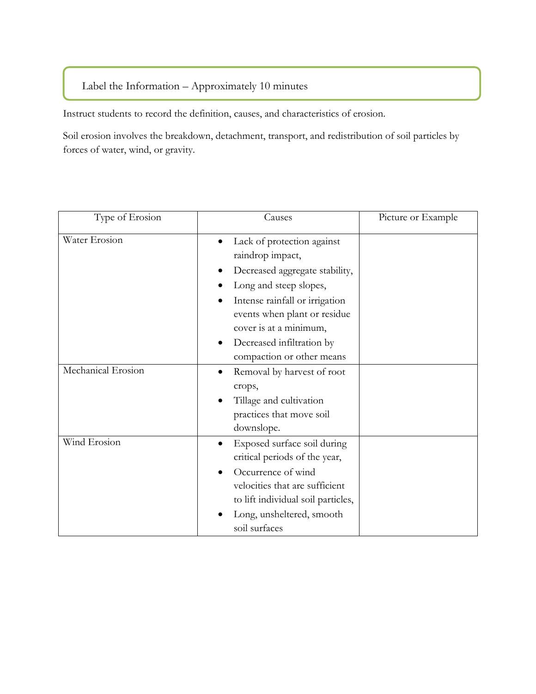#### Label the Information – Approximately 10 minutes

Instruct students to record the definition, causes, and characteristics of erosion.

Soil erosion involves the breakdown, detachment, transport, and redistribution of soil particles by forces of water, wind, or gravity.

| Type of Erosion    | Causes                                                                                                                                                                                                                                                                | Picture or Example |
|--------------------|-----------------------------------------------------------------------------------------------------------------------------------------------------------------------------------------------------------------------------------------------------------------------|--------------------|
| Water Erosion      | Lack of protection against<br>raindrop impact,<br>Decreased aggregate stability,<br>Long and steep slopes,<br>Intense rainfall or irrigation<br>٠<br>events when plant or residue<br>cover is at a minimum,<br>Decreased infiltration by<br>compaction or other means |                    |
| Mechanical Erosion | Removal by harvest of root<br>crops,<br>Tillage and cultivation<br>practices that move soil<br>downslope.                                                                                                                                                             |                    |
| Wind Erosion       | Exposed surface soil during<br>$\bullet$<br>critical periods of the year,<br>Occurrence of wind<br>velocities that are sufficient<br>to lift individual soil particles,<br>Long, unsheltered, smooth<br>soil surfaces                                                 |                    |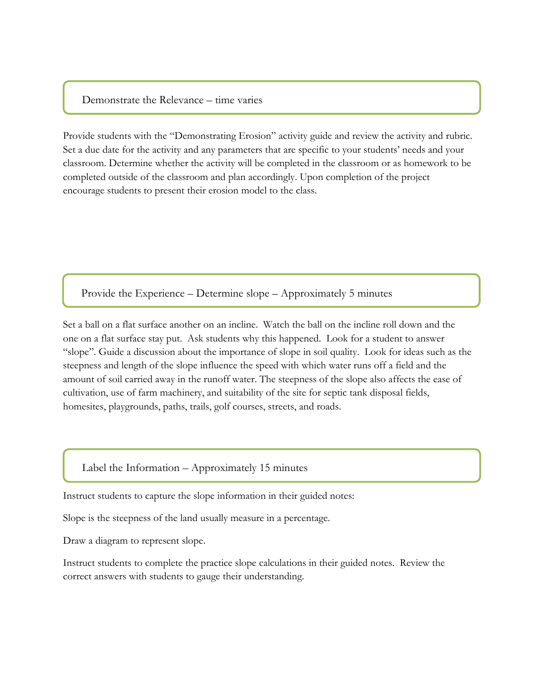#### Demonstrate the Relevance – time varies

Provide students with the "Demonstrating Erosion" activity guide and review the activity and rubric. Set a due date for the activity and any parameters that are specific to your students' needs and your classroom. Determine whether the activity will be completed in the classroom or as homework to be completed outside of the classroom and plan accordingly. Upon completion of the project encourage students to present their erosion model to the class.

Provide the Experience – Determine slope – Approximately 5 minutes

Set a ball on a flat surface another on an incline. Watch the ball on the incline roll down and the one on a flat surface stay put. Ask students why this happened. Look for a student to answer "slope". Guide a discussion about the importance of slope in soil quality. Look for ideas such as the steepness and length of the slope influence the speed with which water runs off a field and the amount of soil carried away in the runoff water. The steepness of the slope also affects the ease of cultivation, use of farm machinery, and suitability of the site for septic tank disposal fields, homesites, playgrounds, paths, trails, golf courses, streets, and roads.

#### Label the Information – Approximately 15 minutes

Instruct students to capture the slope information in their guided notes:

Slope is the steepness of the land usually measure in a percentage.

Draw a diagram to represent slope.

Instruct students to complete the practice slope calculations in their guided notes. Review the correct answers with students to gauge their understanding.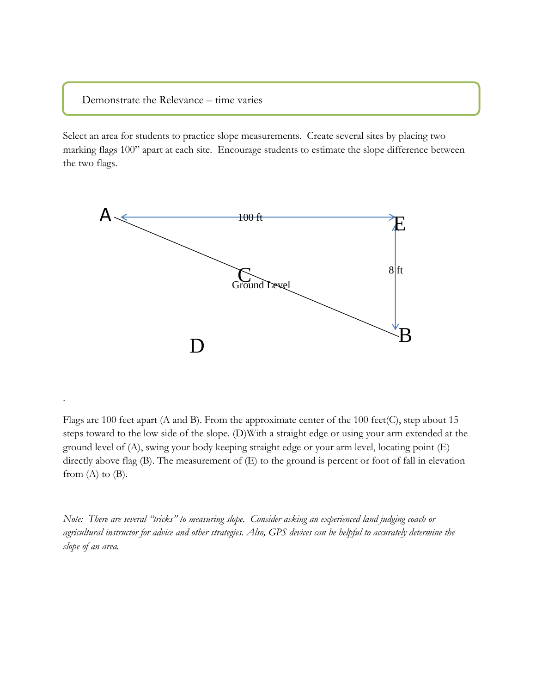Demonstrate the Relevance – time varies

.

Select an area for students to practice slope measurements. Create several sites by placing two marking flags 100" apart at each site. Encourage students to estimate the slope difference between the two flags.



Flags are 100 feet apart (A and B). From the approximate center of the 100 feet(C), step about 15 steps toward to the low side of the slope. (D)With a straight edge or using your arm extended at the ground level of (A), swing your body keeping straight edge or your arm level, locating point (E) directly above flag (B). The measurement of (E) to the ground is percent or foot of fall in elevation from  $(A)$  to  $(B)$ .

*Note: There are several "tricks" to measuring slope. Consider asking an experienced land judging coach or agricultural instructor for advice and other strategies. Also, GPS devices can be helpful to accurately determine the slope of an area.*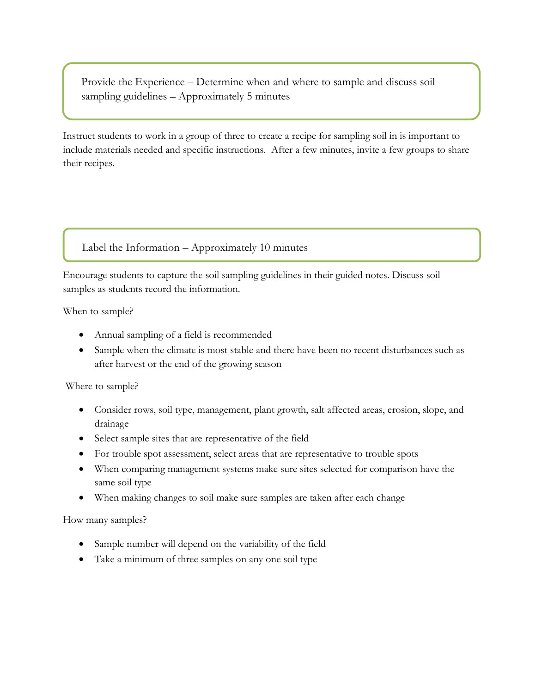Provide the Experience – Determine when and where to sample and discuss soil sampling guidelines – Approximately 5 minutes

Instruct students to work in a group of three to create a recipe for sampling soil in is important to include materials needed and specific instructions. After a few minutes, invite a few groups to share their recipes.

#### Label the Information – Approximately 10 minutes

Encourage students to capture the soil sampling guidelines in their guided notes. Discuss soil samples as students record the information.

When to sample?

- Annual sampling of a field is recommended
- Sample when the climate is most stable and there have been no recent disturbances such as after harvest or the end of the growing season

#### Where to sample?

- Consider rows, soil type, management, plant growth, salt affected areas, erosion, slope, and drainage
- Select sample sites that are representative of the field
- For trouble spot assessment, select areas that are representative to trouble spots
- When comparing management systems make sure sites selected for comparison have the same soil type
- When making changes to soil make sure samples are taken after each change

How many samples?

- Sample number will depend on the variability of the field
- Take a minimum of three samples on any one soil type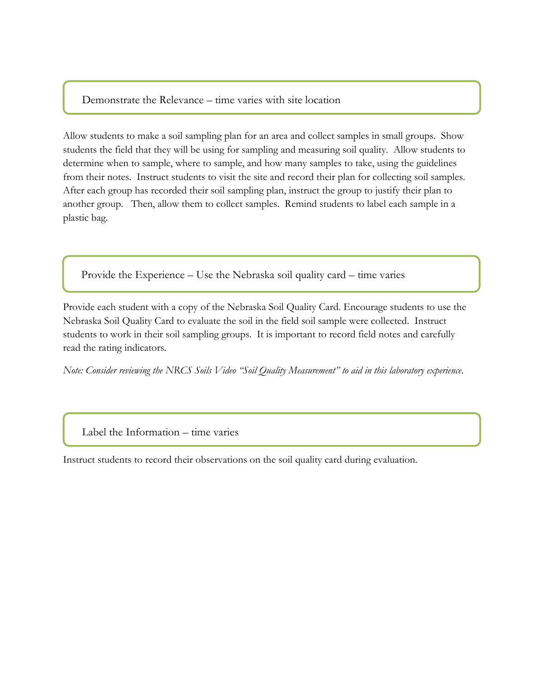#### Demonstrate the Relevance – time varies with site location

Allow students to make a soil sampling plan for an area and collect samples in small groups. Show students the field that they will be using for sampling and measuring soil quality. Allow students to determine when to sample, where to sample, and how many samples to take, using the guidelines from their notes. Instruct students to visit the site and record their plan for collecting soil samples. After each group has recorded their soil sampling plan, instruct the group to justify their plan to another group. Then, allow them to collect samples. Remind students to label each sample in a plastic bag.

Provide the Experience – Use the Nebraska soil quality card – time varies

Provide each student with a copy of the Nebraska Soil Quality Card. Encourage students to use the Nebraska Soil Quality Card to evaluate the soil in the field soil sample were collected. Instruct students to work in their soil sampling groups. It is important to record field notes and carefully read the rating indicators.

*Note: Consider reviewing the NRCS Soils Video "Soil Quality Measurement" to aid in this laboratory experience.* 

#### Label the Information – time varies

Instruct students to record their observations on the soil quality card during evaluation.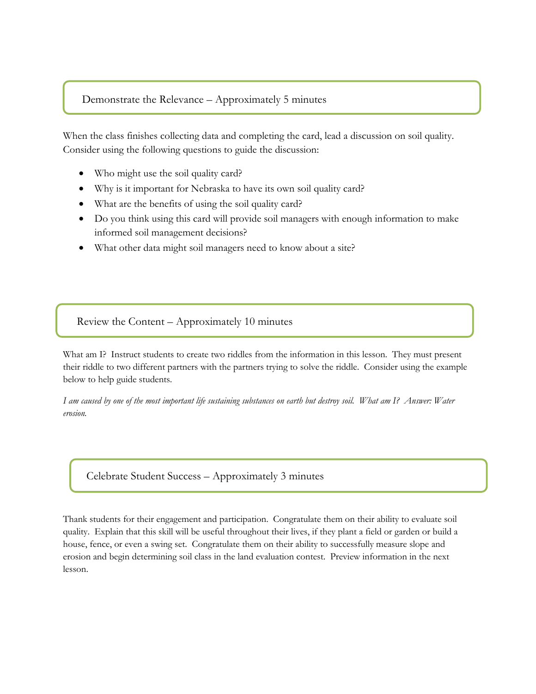#### Demonstrate the Relevance – Approximately 5 minutes

When the class finishes collecting data and completing the card, lead a discussion on soil quality. Consider using the following questions to guide the discussion:

- Who might use the soil quality card?
- Why is it important for Nebraska to have its own soil quality card?
- What are the benefits of using the soil quality card?
- Do you think using this card will provide soil managers with enough information to make informed soil management decisions?
- What other data might soil managers need to know about a site?

#### Review the Content – Approximately 10 minutes

What am I? Instruct students to create two riddles from the information in this lesson. They must present their riddle to two different partners with the partners trying to solve the riddle. Consider using the example below to help guide students.

*I am caused by one of the most important life sustaining substances on earth but destroy soil. What am I? Answer: Water erosion.*

Celebrate Student Success – Approximately 3 minutes

Thank students for their engagement and participation. Congratulate them on their ability to evaluate soil quality. Explain that this skill will be useful throughout their lives, if they plant a field or garden or build a house, fence, or even a swing set. Congratulate them on their ability to successfully measure slope and erosion and begin determining soil class in the land evaluation contest. Preview information in the next lesson.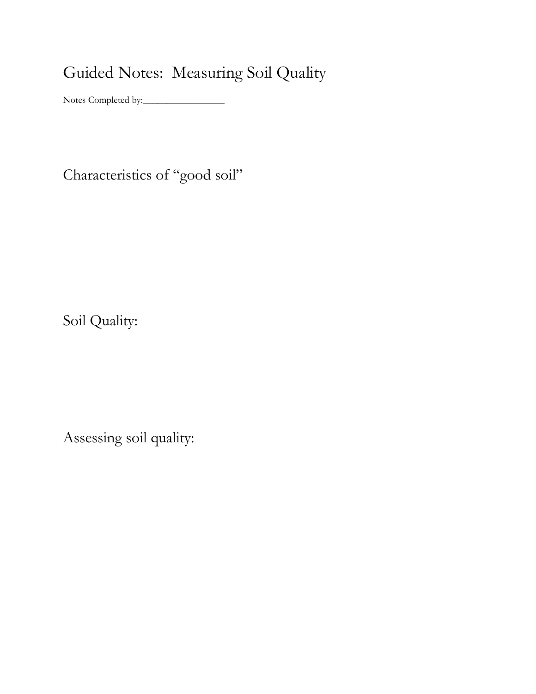## Guided Notes: Measuring Soil Quality

Notes Completed by:\_\_\_\_\_\_\_\_\_\_\_\_\_\_\_\_\_

Characteristics of "good soil"

Soil Quality:

Assessing soil quality: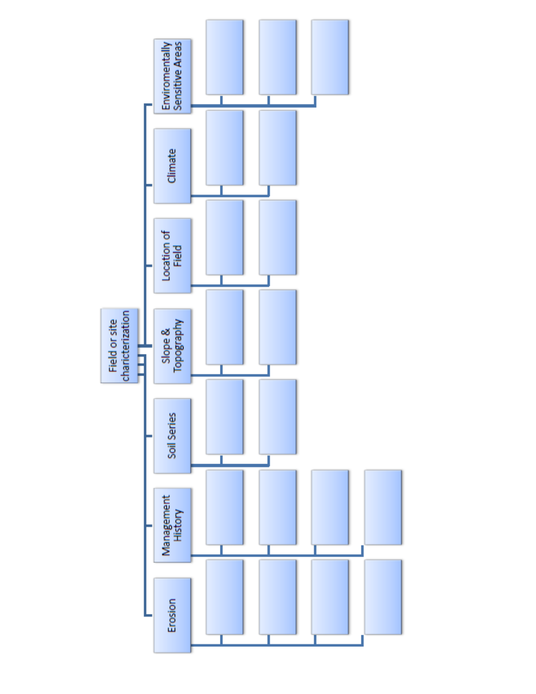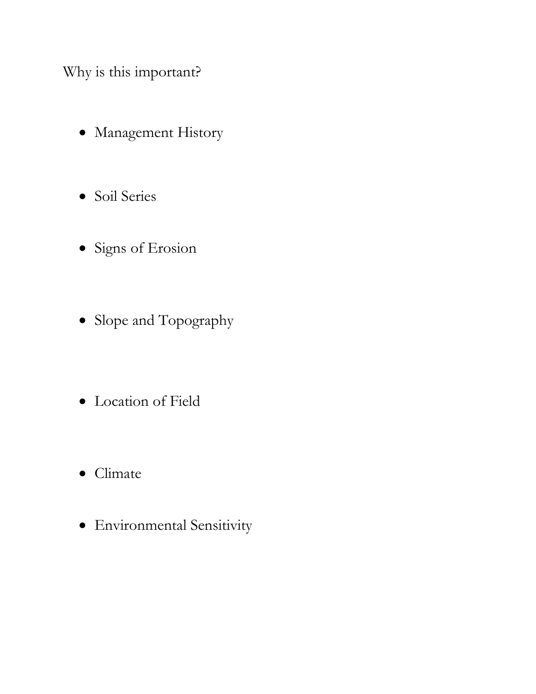Why is this important?

- Management History
- Soil Series
- Signs of Erosion
- Slope and Topography
- Location of Field
- Climate
- Environmental Sensitivity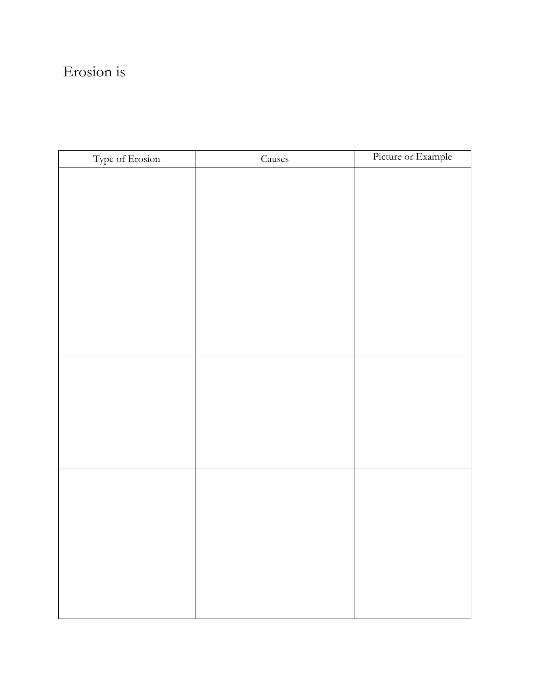### Erosion is

| Type of Erosion | $\rm\,Causes$ | Picture or Example |
|-----------------|---------------|--------------------|
|                 |               |                    |
|                 |               |                    |
|                 |               |                    |
|                 |               |                    |
|                 |               |                    |
|                 |               |                    |
|                 |               |                    |
|                 |               |                    |
|                 |               |                    |
|                 |               |                    |
|                 |               |                    |
|                 |               |                    |
|                 |               |                    |
|                 |               |                    |
|                 |               |                    |
|                 |               |                    |
|                 |               |                    |
|                 |               |                    |
|                 |               |                    |
|                 |               |                    |
|                 |               |                    |
|                 |               |                    |
|                 |               |                    |
|                 |               |                    |
|                 |               |                    |
|                 |               |                    |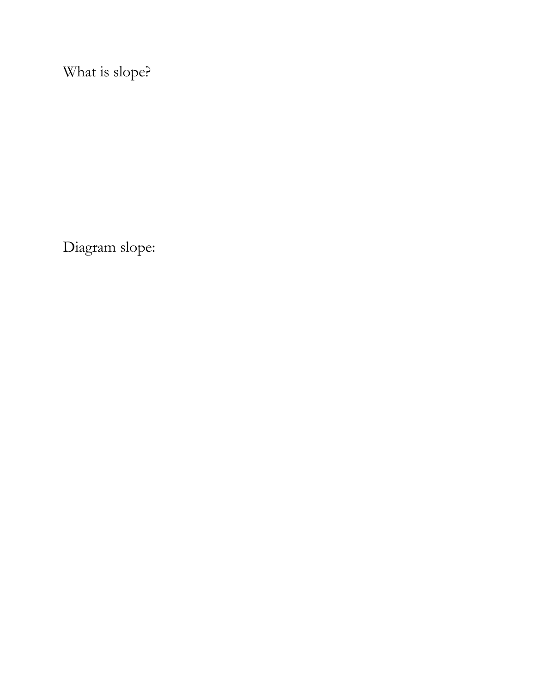What is slope?

Diagram slope: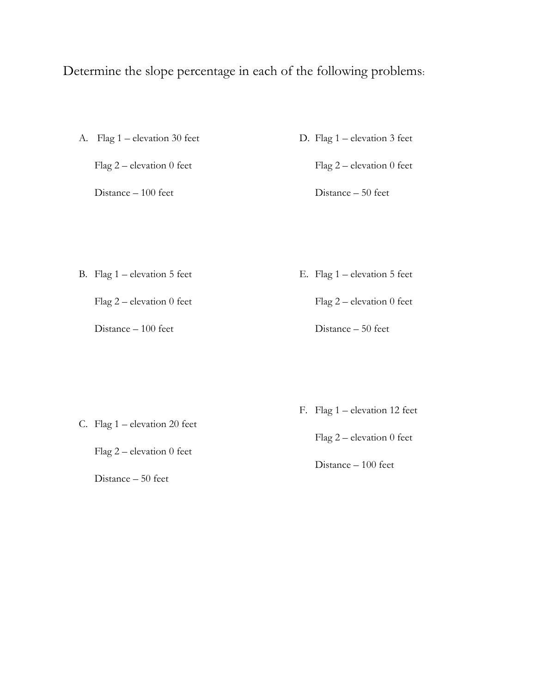### Determine the slope percentage in each of the following problems:

A. Flag 1 – elevation 30 feet Flag 2 – elevation 0 feet

Distance – 100 feet

D. Flag 1 – elevation 3 feet

Flag 2 – elevation 0 feet

Distance – 50 feet

B. Flag 1 – elevation 5 feet

Flag 2 – elevation 0 feet

Distance – 100 feet

E. Flag 1 – elevation 5 feet

Distance – 50 feet

Flag 2 – elevation 0 feet

C. Flag 1 – elevation 20 feet

Flag 2 – elevation 0 feet

Distance – 50 feet

F. Flag 1 – elevation 12 feet

Flag 2 – elevation 0 feet

Distance – 100 feet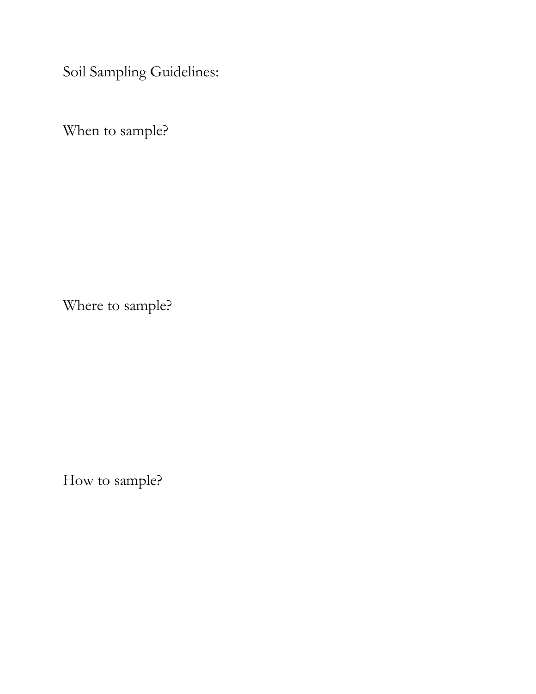Soil Sampling Guidelines:

When to sample?

Where to sample?

How to sample?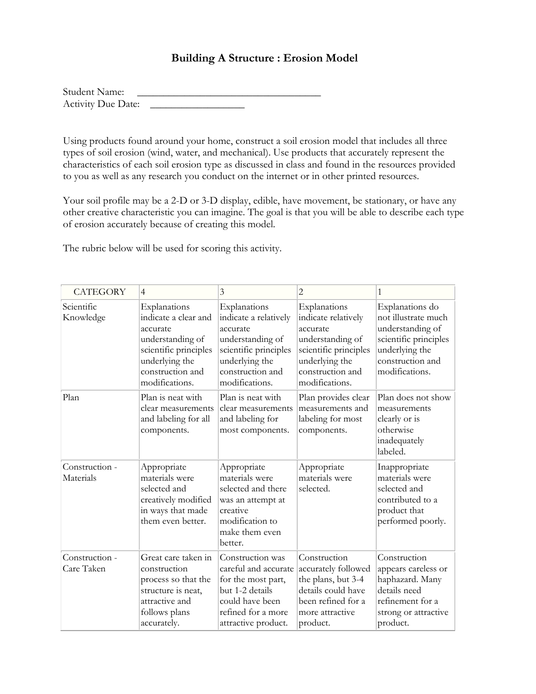#### **Building A Structure : Erosion Model**

| Student Name:             |  |
|---------------------------|--|
| <b>Activity Due Date:</b> |  |

Using products found around your home, construct a soil erosion model that includes all three types of soil erosion (wind, water, and mechanical). Use products that accurately represent the characteristics of each soil erosion type as discussed in class and found in the resources provided to you as well as any research you conduct on the internet or in other printed resources.

Your soil profile may be a 2-D or 3-D display, edible, have movement, be stationary, or have any other creative characteristic you can imagine. The goal is that you will be able to describe each type of erosion accurately because of creating this model.

The rubric below will be used for scoring this activity.

| <b>CATEGORY</b>              | $\overline{4}$                                                                                                                                        | 3                                                                                                                                                      | 2                                                                                                                                                    | 1                                                                                                                                           |
|------------------------------|-------------------------------------------------------------------------------------------------------------------------------------------------------|--------------------------------------------------------------------------------------------------------------------------------------------------------|------------------------------------------------------------------------------------------------------------------------------------------------------|---------------------------------------------------------------------------------------------------------------------------------------------|
| Scientific<br>Knowledge      | Explanations<br>indicate a clear and<br>accurate<br>understanding of<br>scientific principles<br>underlying the<br>construction and<br>modifications. | Explanations<br>indicate a relatively<br>accurate<br>understanding of<br>scientific principles<br>underlying the<br>construction and<br>modifications. | Explanations<br>indicate relatively<br>accurate<br>understanding of<br>scientific principles<br>underlying the<br>construction and<br>modifications. | Explanations do<br>not illustrate much<br>understanding of<br>scientific principles<br>underlying the<br>construction and<br>modifications. |
| Plan                         | Plan is neat with<br>clear measurements<br>and labeling for all<br>components.                                                                        | Plan is neat with<br>clear measurements<br>and labeling for<br>most components.                                                                        | Plan provides clear<br>measurements and<br>labeling for most<br>components.                                                                          | Plan does not show<br>measurements<br>clearly or is<br>otherwise<br>inadequately<br>labeled.                                                |
| Construction -<br>Materials  | Appropriate<br>materials were<br>selected and<br>creatively modified<br>in ways that made<br>them even better.                                        | Appropriate<br>materials were<br>selected and there<br>was an attempt at<br>creative<br>modification to<br>make them even<br>better.                   | Appropriate<br>materials were<br>selected.                                                                                                           | Inappropriate<br>materials were<br>selected and<br>contributed to a<br>product that<br>performed poorly.                                    |
| Construction -<br>Care Taken | Great care taken in<br>construction<br>process so that the<br>structure is neat,<br>attractive and<br>follows plans<br>accurately.                    | Construction was<br>careful and accurate<br>for the most part,<br>but 1-2 details<br>could have been<br>refined for a more<br>attractive product.      | Construction<br>accurately followed<br>the plans, but 3-4<br>details could have<br>been refined for a<br>more attractive<br>product.                 | Construction<br>appears careless or<br>haphazard. Many<br>details need<br>refinement for a<br>strong or attractive<br>product.              |